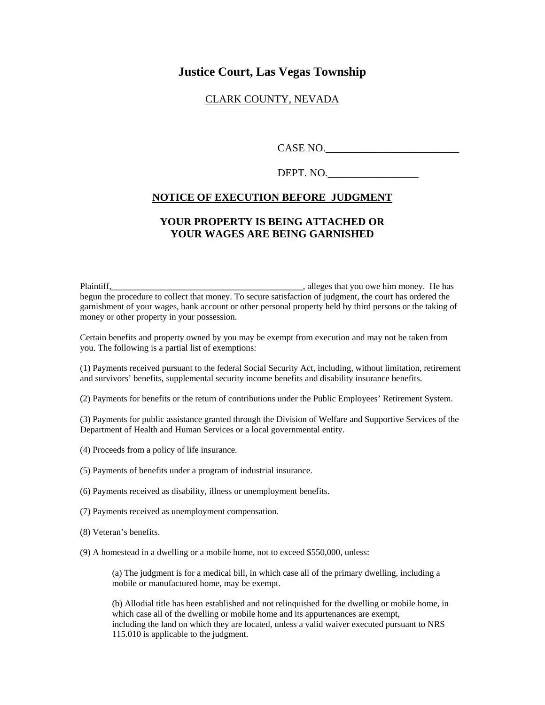# **Justice Court, Las Vegas Township**

### CLARK COUNTY, NEVADA

CASE NO.

DEPT. NO.

#### **NOTICE OF EXECUTION BEFORE JUDGMENT**

## **YOUR PROPERTY IS BEING ATTACHED OR YOUR WAGES ARE BEING GARNISHED**

Plaintiff,\_\_\_\_\_\_\_\_\_\_\_\_\_\_\_\_\_\_\_\_\_\_\_\_\_\_\_\_\_\_\_\_\_\_\_\_\_\_\_\_\_\_\_, alleges that you owe him money. He has begun the procedure to collect that money. To secure satisfaction of judgment, the court has ordered the garnishment of your wages, bank account or other personal property held by third persons or the taking of money or other property in your possession.

Certain benefits and property owned by you may be exempt from execution and may not be taken from you. The following is a partial list of exemptions:

(1) Payments received pursuant to the federal Social Security Act, including, without limitation, retirement and survivors' benefits, supplemental security income benefits and disability insurance benefits.

(2) Payments for benefits or the return of contributions under the Public Employees' Retirement System.

(3) Payments for public assistance granted through the Division of Welfare and Supportive Services of the Department of Health and Human Services or a local governmental entity.

(4) Proceeds from a policy of life insurance.

(5) Payments of benefits under a program of industrial insurance.

(6) Payments received as disability, illness or unemployment benefits.

- (7) Payments received as unemployment compensation.
- (8) Veteran's benefits.
- (9) A homestead in a dwelling or a mobile home, not to exceed \$550,000, unless:

(a) The judgment is for a medical bill, in which case all of the primary dwelling, including a mobile or manufactured home, may be exempt.

(b) Allodial title has been established and not relinquished for the dwelling or mobile home, in which case all of the dwelling or mobile home and its appurtenances are exempt, including the land on which they are located, unless a valid waiver executed pursuant to NRS 115.010 is applicable to the judgment.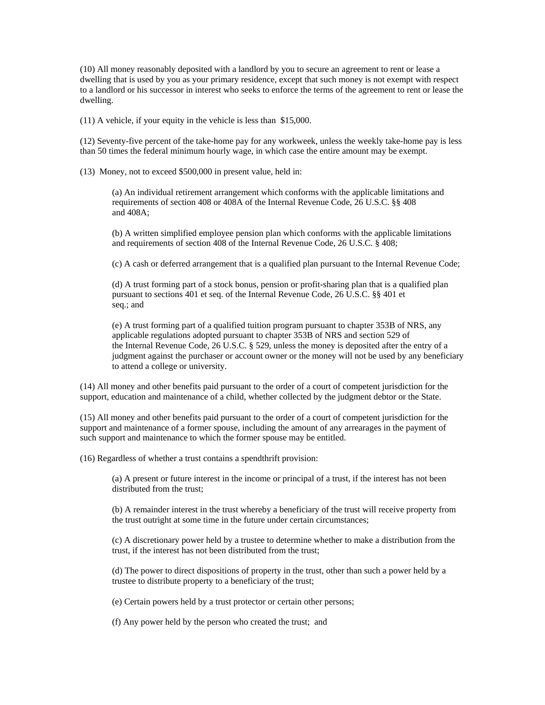(10) All money reasonably deposited with a landlord by you to secure an agreement to rent or lease a dwelling that is used by you as your primary residence, except that such money is not exempt with respect to a landlord or his successor in interest who seeks to enforce the terms of the agreement to rent or lease the dwelling.

(11) A vehicle, if your equity in the vehicle is less than \$15,000.

(12) Seventy-five percent of the take-home pay for any workweek, unless the weekly take-home pay is less than 50 times the federal minimum hourly wage, in which case the entire amount may be exempt.

(13) Money, not to exceed \$500,000 in present value, held in:

(a) An individual retirement arrangement which conforms with the applicable limitations and requirements of section 408 or 408A of the Internal Revenue Code, 26 U.S.C. §§ 408 and 408A;

(b) A written simplified employee pension plan which conforms with the applicable limitations and requirements of section 408 of the Internal Revenue Code, 26 U.S.C. § 408;

(c) A cash or deferred arrangement that is a qualified plan pursuant to the Internal Revenue Code;

(d) A trust forming part of a stock bonus, pension or profit-sharing plan that is a qualified plan pursuant to sections 401 et seq. of the Internal Revenue Code, 26 U.S.C. §§ 401 et seq.; and

(e) A trust forming part of a qualified tuition program pursuant to chapter 353B of NRS, any applicable regulations adopted pursuant to chapter 353B of NRS and section 529 of the Internal Revenue Code, 26 U.S.C. § 529, unless the money is deposited after the entry of a judgment against the purchaser or account owner or the money will not be used by any beneficiary to attend a college or university.

(14) All money and other benefits paid pursuant to the order of a court of competent jurisdiction for the support, education and maintenance of a child, whether collected by the judgment debtor or the State.

(15) All money and other benefits paid pursuant to the order of a court of competent jurisdiction for the support and maintenance of a former spouse, including the amount of any arrearages in the payment of such support and maintenance to which the former spouse may be entitled.

(16) Regardless of whether a trust contains a spendthrift provision:

(a) A present or future interest in the income or principal of a trust, if the interest has not been distributed from the trust;

(b) A remainder interest in the trust whereby a beneficiary of the trust will receive property from the trust outright at some time in the future under certain circumstances;

(c) A discretionary power held by a trustee to determine whether to make a distribution from the trust, if the interest has not been distributed from the trust;

(d) The power to direct dispositions of property in the trust, other than such a power held by a trustee to distribute property to a beneficiary of the trust;

(e) Certain powers held by a trust protector or certain other persons;

(f) Any power held by the person who created the trust; and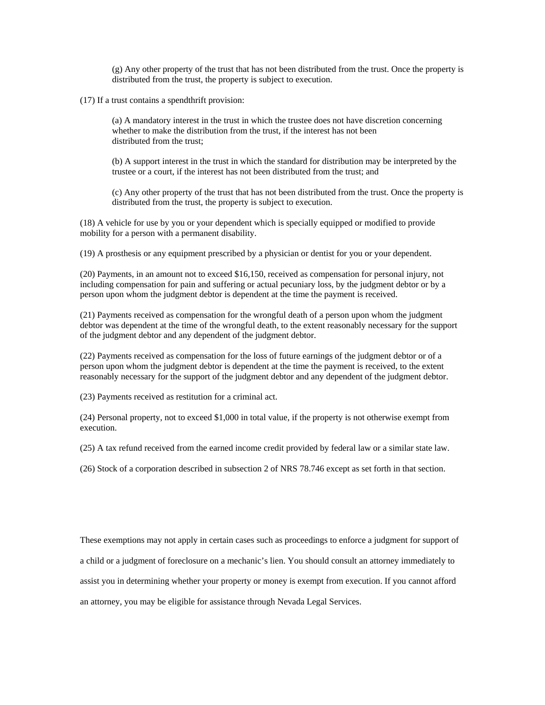(g) Any other property of the trust that has not been distributed from the trust. Once the property is distributed from the trust, the property is subject to execution.

(17) If a trust contains a spendthrift provision:

(a) A mandatory interest in the trust in which the trustee does not have discretion concerning whether to make the distribution from the trust, if the interest has not been distributed from the trust;

(b) A support interest in the trust in which the standard for distribution may be interpreted by the trustee or a court, if the interest has not been distributed from the trust; and

(c) Any other property of the trust that has not been distributed from the trust. Once the property is distributed from the trust, the property is subject to execution.

(18) A vehicle for use by you or your dependent which is specially equipped or modified to provide mobility for a person with a permanent disability.

(19) A prosthesis or any equipment prescribed by a physician or dentist for you or your dependent.

(20) Payments, in an amount not to exceed \$16,150, received as compensation for personal injury, not including compensation for pain and suffering or actual pecuniary loss, by the judgment debtor or by a person upon whom the judgment debtor is dependent at the time the payment is received.

(21) Payments received as compensation for the wrongful death of a person upon whom the judgment debtor was dependent at the time of the wrongful death, to the extent reasonably necessary for the support of the judgment debtor and any dependent of the judgment debtor.

(22) Payments received as compensation for the loss of future earnings of the judgment debtor or of a person upon whom the judgment debtor is dependent at the time the payment is received, to the extent reasonably necessary for the support of the judgment debtor and any dependent of the judgment debtor.

(23) Payments received as restitution for a criminal act.

(24) Personal property, not to exceed \$1,000 in total value, if the property is not otherwise exempt from execution.

(25) A tax refund received from the earned income credit provided by federal law or a similar state law.

(26) Stock of a corporation described in subsection 2 of NRS 78.746 except as set forth in that section.

These exemptions may not apply in certain cases such as proceedings to enforce a judgment for support of a child or a judgment of foreclosure on a mechanic's lien. You should consult an attorney immediately to assist you in determining whether your property or money is exempt from execution. If you cannot afford an attorney, you may be eligible for assistance through Nevada Legal Services.